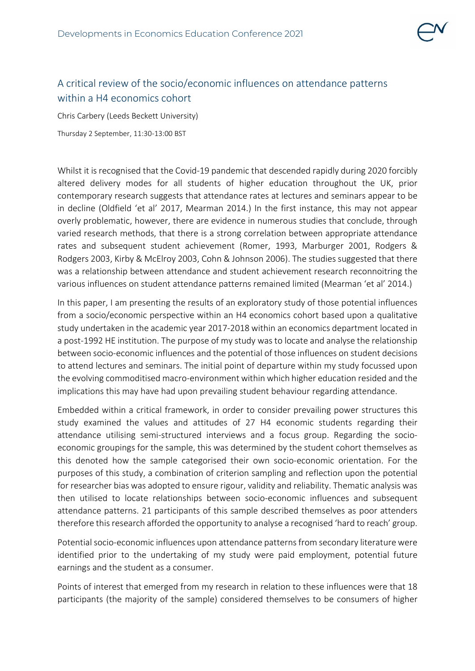

## A critical review of the socio/economic influences on attendance patterns within a H4 economics cohort

Chris Carbery (Leeds Beckett University)

Thursday 2 September, 11:30-13:00 BST

Whilst it is recognised that the Covid-19 pandemic that descended rapidly during 2020 forcibly altered delivery modes for all students of higher education throughout the UK, prior contemporary research suggests that attendance rates at lectures and seminars appear to be in decline (Oldfield 'et al' 2017, Mearman 2014.) In the first instance, this may not appear overly problematic, however, there are evidence in numerous studies that conclude, through varied research methods, that there is a strong correlation between appropriate attendance rates and subsequent student achievement (Romer, 1993, Marburger 2001, Rodgers & Rodgers 2003, Kirby & McElroy 2003, Cohn & Johnson 2006). The studies suggested that there was a relationship between attendance and student achievement research reconnoitring the various influences on student attendance patterns remained limited (Mearman 'et al' 2014.)

In this paper, I am presenting the results of an exploratory study of those potential influences from a socio/economic perspective within an H4 economics cohort based upon a qualitative study undertaken in the academic year 2017-2018 within an economics department located in a post-1992 HE institution. The purpose of my study was to locate and analyse the relationship between socio-economic influences and the potential of those influences on student decisions to attend lectures and seminars. The initial point of departure within my study focussed upon the evolving commoditised macro-environment within which higher education resided and the implications this may have had upon prevailing student behaviour regarding attendance.

Embedded within a critical framework, in order to consider prevailing power structures this study examined the values and attitudes of 27 H4 economic students regarding their attendance utilising semi-structured interviews and a focus group. Regarding the socioeconomic groupings for the sample, this was determined by the student cohort themselves as this denoted how the sample categorised their own socio-economic orientation. For the purposes of this study, a combination of criterion sampling and reflection upon the potential for researcher bias was adopted to ensure rigour, validity and reliability. Thematic analysis was then utilised to locate relationships between socio-economic influences and subsequent attendance patterns. 21 participants of this sample described themselves as poor attenders therefore this research afforded the opportunity to analyse a recognised 'hard to reach' group.

Potential socio-economic influences upon attendance patterns from secondary literature were identified prior to the undertaking of my study were paid employment, potential future earnings and the student as a consumer.

Points of interest that emerged from my research in relation to these influences were that 18 participants (the majority of the sample) considered themselves to be consumers of higher